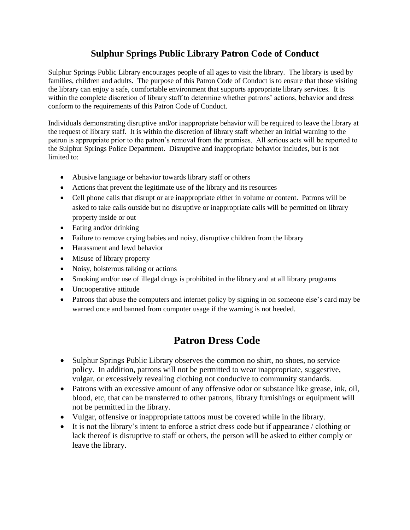## **Sulphur Springs Public Library Patron Code of Conduct**

Sulphur Springs Public Library encourages people of all ages to visit the library. The library is used by families, children and adults. The purpose of this Patron Code of Conduct is to ensure that those visiting the library can enjoy a safe, comfortable environment that supports appropriate library services. It is within the complete discretion of library staff to determine whether patrons' actions, behavior and dress conform to the requirements of this Patron Code of Conduct.

Individuals demonstrating disruptive and/or inappropriate behavior will be required to leave the library at the request of library staff. It is within the discretion of library staff whether an initial warning to the patron is appropriate prior to the patron's removal from the premises. All serious acts will be reported to the Sulphur Springs Police Department. Disruptive and inappropriate behavior includes, but is not limited to:

- Abusive language or behavior towards library staff or others
- Actions that prevent the legitimate use of the library and its resources
- Cell phone calls that disrupt or are inappropriate either in volume or content. Patrons will be asked to take calls outside but no disruptive or inappropriate calls will be permitted on library property inside or out
- Eating and/or drinking
- Failure to remove crying babies and noisy, disruptive children from the library
- Harassment and lewd behavior
- Misuse of library property
- Noisy, boisterous talking or actions
- Smoking and/or use of illegal drugs is prohibited in the library and at all library programs
- Uncooperative attitude
- Patrons that abuse the computers and internet policy by signing in on someone else's card may be warned once and banned from computer usage if the warning is not heeded.

## **Patron Dress Code**

- Sulphur Springs Public Library observes the common no shirt, no shoes, no service policy. In addition, patrons will not be permitted to wear inappropriate, suggestive, vulgar, or excessively revealing clothing not conducive to community standards.
- Patrons with an excessive amount of any offensive odor or substance like grease, ink, oil, blood, etc, that can be transferred to other patrons, library furnishings or equipment will not be permitted in the library.
- Vulgar, offensive or inappropriate tattoos must be covered while in the library.
- It is not the library's intent to enforce a strict dress code but if appearance / clothing or lack thereof is disruptive to staff or others, the person will be asked to either comply or leave the library.